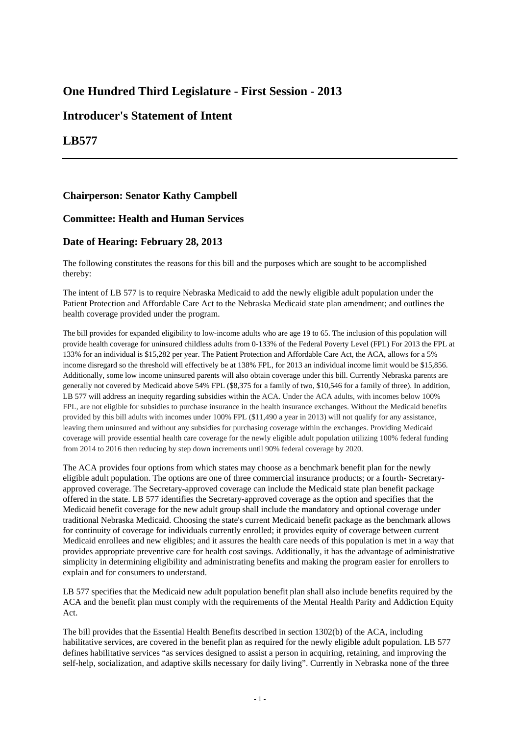# **One Hundred Third Legislature - First Session - 2013**

## **Introducer's Statement of Intent**

## **LB577**

### **Chairperson: Senator Kathy Campbell**

### **Committee: Health and Human Services**

### **Date of Hearing: February 28, 2013**

The following constitutes the reasons for this bill and the purposes which are sought to be accomplished thereby:

The intent of LB 577 is to require Nebraska Medicaid to add the newly eligible adult population under the Patient Protection and Affordable Care Act to the Nebraska Medicaid state plan amendment; and outlines the health coverage provided under the program.

The bill provides for expanded eligibility to low-income adults who are age 19 to 65. The inclusion of this population will provide health coverage for uninsured childless adults from 0-133% of the Federal Poverty Level (FPL) For 2013 the FPL at 133% for an individual is \$15,282 per year. The Patient Protection and Affordable Care Act, the ACA, allows for a 5% income disregard so the threshold will effectively be at 138% FPL, for 2013 an individual income limit would be \$15,856. Additionally, some low income uninsured parents will also obtain coverage under this bill. Currently Nebraska parents are generally not covered by Medicaid above 54% FPL (\$8,375 for a family of two, \$10,546 for a family of three). In addition, LB 577 will address an inequity regarding subsidies within the ACA. Under the ACA adults, with incomes below 100% FPL, are not eligible for subsidies to purchase insurance in the health insurance exchanges. Without the Medicaid benefits provided by this bill adults with incomes under 100% FPL (\$11,490 a year in 2013) will not qualify for any assistance, leaving them uninsured and without any subsidies for purchasing coverage within the exchanges. Providing Medicaid coverage will provide essential health care coverage for the newly eligible adult population utilizing 100% federal funding from 2014 to 2016 then reducing by step down increments until 90% federal coverage by 2020.

The ACA provides four options from which states may choose as a benchmark benefit plan for the newly eligible adult population. The options are one of three commercial insurance products; or a fourth- Secretaryapproved coverage. The Secretary-approved coverage can include the Medicaid state plan benefit package offered in the state. LB 577 identifies the Secretary-approved coverage as the option and specifies that the Medicaid benefit coverage for the new adult group shall include the mandatory and optional coverage under traditional Nebraska Medicaid. Choosing the state's current Medicaid benefit package as the benchmark allows for continuity of coverage for individuals currently enrolled; it provides equity of coverage between current Medicaid enrollees and new eligibles; and it assures the health care needs of this population is met in a way that provides appropriate preventive care for health cost savings. Additionally, it has the advantage of administrative simplicity in determining eligibility and administrating benefits and making the program easier for enrollers to explain and for consumers to understand.

LB 577 specifies that the Medicaid new adult population benefit plan shall also include benefits required by the ACA and the benefit plan must comply with the requirements of the Mental Health Parity and Addiction Equity Act.

The bill provides that the Essential Health Benefits described in section 1302(b) of the ACA, including habilitative services, are covered in the benefit plan as required for the newly eligible adult population. LB 577 defines habilitative services "as services designed to assist a person in acquiring, retaining, and improving the self-help, socialization, and adaptive skills necessary for daily living". Currently in Nebraska none of the three